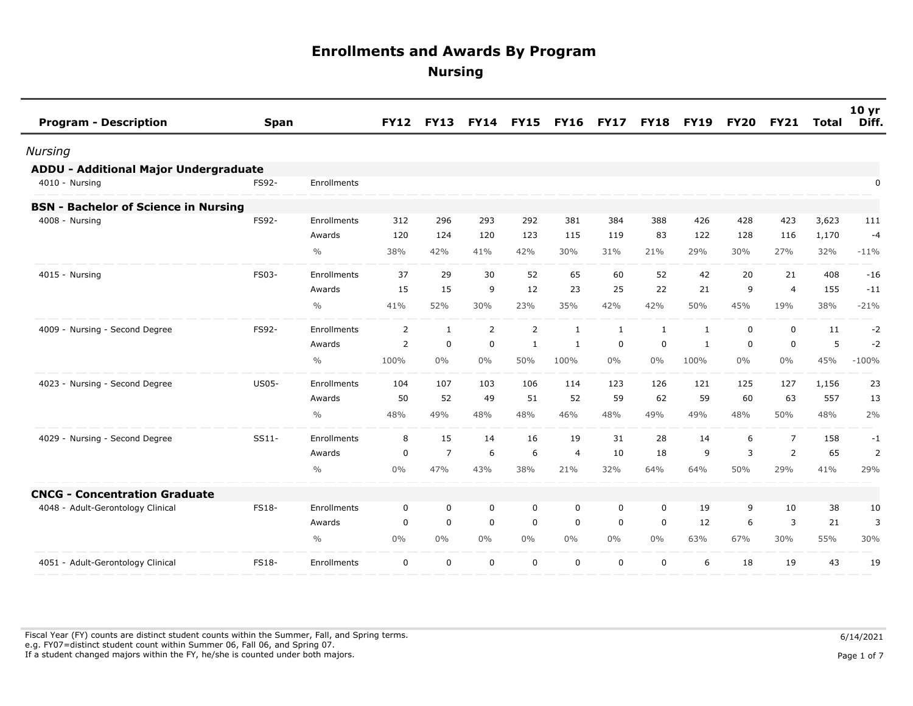| <b>Program - Description</b>                | <b>Span</b>  |               | <b>FY12</b>    | <b>FY13</b>    | <b>FY14</b>    | <b>FY15</b>    | <b>FY16</b>    | <b>FY17</b>  | <b>FY18</b>  | <b>FY19</b>  | <b>FY20</b> | <b>FY21</b>    | <b>Total</b> | 10 <sub>yr</sub><br>Diff. |
|---------------------------------------------|--------------|---------------|----------------|----------------|----------------|----------------|----------------|--------------|--------------|--------------|-------------|----------------|--------------|---------------------------|
| Nursing                                     |              |               |                |                |                |                |                |              |              |              |             |                |              |                           |
| ADDU - Additional Major Undergraduate       |              |               |                |                |                |                |                |              |              |              |             |                |              |                           |
| 4010 - Nursing                              | FS92-        | Enrollments   |                |                |                |                |                |              |              |              |             |                |              | 0                         |
| <b>BSN - Bachelor of Science in Nursing</b> |              |               |                |                |                |                |                |              |              |              |             |                |              |                           |
| 4008 - Nursing                              | FS92-        | Enrollments   | 312            | 296            | 293            | 292            | 381            | 384          | 388          | 426          | 428         | 423            | 3,623        | 111                       |
|                                             |              | Awards        | 120            | 124            | 120            | 123            | 115            | 119          | 83           | 122          | 128         | 116            | 1,170        | $-4$                      |
|                                             |              | $\frac{0}{0}$ | 38%            | 42%            | 41%            | 42%            | 30%            | 31%          | 21%          | 29%          | 30%         | 27%            | 32%          | $-11%$                    |
| 4015 - Nursing                              | FS03-        | Enrollments   | 37             | 29             | 30             | 52             | 65             | 60           | 52           | 42           | 20          | 21             | 408          | $-16$                     |
|                                             |              | Awards        | 15             | 15             | 9              | 12             | 23             | 25           | 22           | 21           | 9           | $\overline{4}$ | 155          | $-11$                     |
|                                             |              | $\frac{0}{0}$ | 41%            | 52%            | 30%            | 23%            | 35%            | 42%          | 42%          | 50%          | 45%         | 19%            | 38%          | $-21%$                    |
| 4009 - Nursing - Second Degree              | FS92-        | Enrollments   | $\overline{2}$ | $\mathbf{1}$   | $\overline{2}$ | $\overline{2}$ | 1              | $\mathbf{1}$ | $\mathbf{1}$ | $\mathbf{1}$ | 0           | $\mathbf 0$    | 11           | $-2$                      |
|                                             |              | Awards        | 2              | 0              | 0              | 1              | 1              | 0            | 0            | 1            | 0           | 0              | 5            | $-2$                      |
|                                             |              | $\frac{0}{0}$ | 100%           | $0\%$          | 0%             | 50%            | 100%           | 0%           | $0\%$        | 100%         | 0%          | $0\%$          | 45%          | $-100%$                   |
| 4023 - Nursing - Second Degree              | <b>US05-</b> | Enrollments   | 104            | 107            | 103            | 106            | 114            | 123          | 126          | 121          | 125         | 127            | 1,156        | 23                        |
|                                             |              | Awards        | 50             | 52             | 49             | 51             | 52             | 59           | 62           | 59           | 60          | 63             | 557          | 13                        |
|                                             |              | $\frac{0}{0}$ | 48%            | 49%            | 48%            | 48%            | 46%            | 48%          | 49%          | 49%          | 48%         | 50%            | 48%          | 2%                        |
| 4029 - Nursing - Second Degree              | SS11-        | Enrollments   | 8              | 15             | 14             | 16             | 19             | 31           | 28           | 14           | 6           | $\overline{7}$ | 158          | -1                        |
|                                             |              | Awards        | 0              | $\overline{7}$ | 6              | 6              | $\overline{4}$ | 10           | 18           | 9            | 3           | 2              | 65           | $\overline{2}$            |
|                                             |              | $\frac{0}{0}$ | $0\%$          | 47%            | 43%            | 38%            | 21%            | 32%          | 64%          | 64%          | 50%         | 29%            | 41%          | 29%                       |
| <b>CNCG - Concentration Graduate</b>        |              |               |                |                |                |                |                |              |              |              |             |                |              |                           |
| 4048 - Adult-Gerontology Clinical           | <b>FS18-</b> | Enrollments   | 0              | 0              | 0              | 0              | 0              | 0            | 0            | 19           | 9           | 10             | 38           | 10                        |
|                                             |              | Awards        | 0              | $\mathbf 0$    | 0              | $\mathbf 0$    | $\mathbf 0$    | $\mathbf 0$  | 0            | 12           | 6           | 3              | 21           | 3                         |
|                                             |              | $\frac{0}{0}$ | $0\%$          | $0\%$          | 0%             | $0\%$          | $0\%$          | $0\%$        | $0\%$        | 63%          | 67%         | 30%            | 55%          | 30%                       |
| 4051 - Adult-Gerontology Clinical           | <b>FS18-</b> | Enrollments   | 0              | $\mathbf 0$    | $\mathbf 0$    | 0              | 0              | $\mathbf 0$  | 0            | 6            | 18          | 19             | 43           | 19                        |

Fiscal Year (FY) counts are distinct student counts within the Summer, Fall, and Spring terms.  $6/14/2021$  e.g. FY07=distinct student count within Summer 06, Fall 06, and Spring 07. If a student changed majors within the FY, he/she is counted under both majors. Page 1 of 7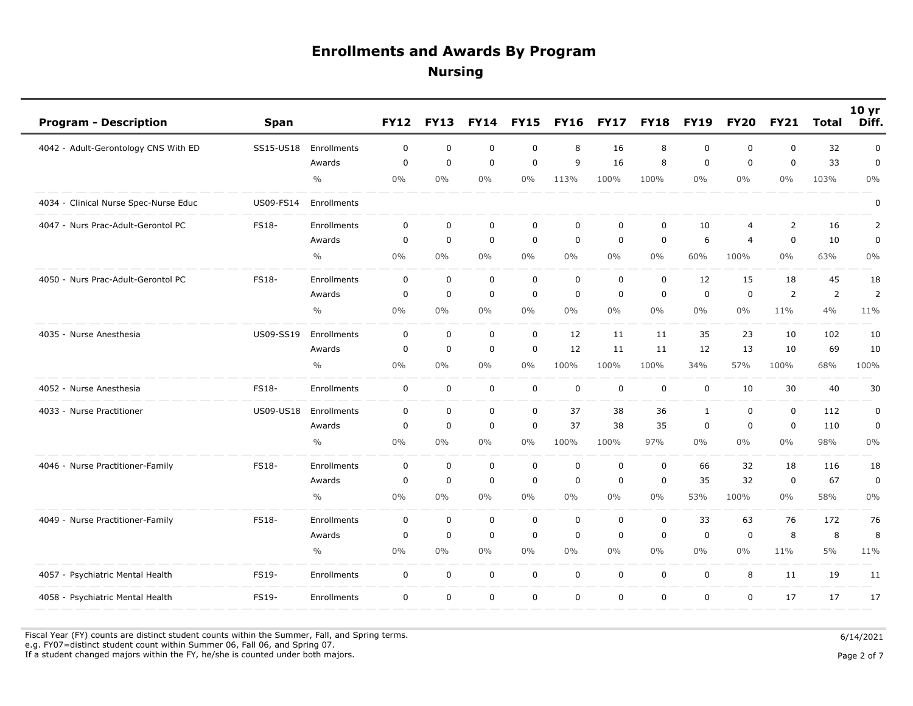| <b>Program - Description</b>          | <b>Span</b>      |               | <b>FY12</b>      | <b>FY13</b> | <b>FY14</b> | <b>FY15</b> | <b>FY16</b> | <b>FY17</b> | <b>FY18</b> | <b>FY19</b>  | <b>FY20</b>    | <b>FY21</b>    | <b>Total</b>   | 10 yr<br>Diff. |
|---------------------------------------|------------------|---------------|------------------|-------------|-------------|-------------|-------------|-------------|-------------|--------------|----------------|----------------|----------------|----------------|
| 4042 - Adult-Gerontology CNS With ED  | SS15-US18        | Enrollments   | $\mathbf 0$      | $\mathbf 0$ | $\mathbf 0$ | $\mathbf 0$ | 8           | 16          | 8           | $\mathbf 0$  | $\mathbf 0$    | $\mathbf 0$    | 32             | $\mathbf 0$    |
|                                       |                  | Awards        | $\mathbf 0$      | $\mathbf 0$ | $\mathbf 0$ | $\mathbf 0$ | 9           | 16          | 8           | $\mathbf 0$  | $\mathbf 0$    | $\mathbf 0$    | 33             | 0              |
|                                       |                  | $\frac{0}{0}$ | $0\%$            | 0%          | 0%          | $0\%$       | 113%        | 100%        | 100%        | $0\%$        | $0\%$          | $0\%$          | 103%           | 0%             |
| 4034 - Clinical Nurse Spec-Nurse Educ | US09-FS14        | Enrollments   |                  |             |             |             |             |             |             |              |                |                |                | 0              |
| 4047 - Nurs Prac-Adult-Gerontol PC    | FS18-            | Enrollments   | $\boldsymbol{0}$ | 0           | $\mathbf 0$ | $\mathbf 0$ | $\mathbf 0$ | $\mathbf 0$ | $\mathbf 0$ | 10           | $\overline{4}$ | $\overline{2}$ | 16             | 2              |
|                                       |                  | Awards        | 0                | $\mathbf 0$ | $\mathbf 0$ | $\mathbf 0$ | $\mathbf 0$ | $\mathbf 0$ | $\mathbf 0$ | 6            | $\overline{4}$ | $\mathbf 0$    | 10             | 0              |
|                                       |                  | $\frac{0}{0}$ | $0\%$            | 0%          | 0%          | $0\%$       | $0\%$       | $0\%$       | $0\%$       | 60%          | 100%           | $0\%$          | 63%            | 0%             |
| 4050 - Nurs Prac-Adult-Gerontol PC    | <b>FS18-</b>     | Enrollments   | 0                | 0           | $\mathbf 0$ | $\mathsf 0$ | $\mathbf 0$ | $\mathbf 0$ | $\mathbf 0$ | 12           | 15             | 18             | 45             | 18             |
|                                       |                  | Awards        | 0                | $\mathbf 0$ | $\mathbf 0$ | $\mathbf 0$ | $\mathbf 0$ | $\mathbf 0$ | $\mathbf 0$ | $\mathbf 0$  | $\mathbf 0$    | 2              | $\overline{2}$ | 2              |
|                                       |                  | $\frac{0}{0}$ | $0\%$            | 0%          | 0%          | $0\%$       | $0\%$       | $0\%$       | $0\%$       | $0\%$        | $0\%$          | 11%            | 4%             | 11%            |
| 4035 - Nurse Anesthesia               | <b>US09-SS19</b> | Enrollments   | $\mathbf 0$      | 0           | $\mathbf 0$ | 0           | 12          | 11          | 11          | 35           | 23             | 10             | 102            | 10             |
|                                       |                  | Awards        | $\mathbf 0$      | $\mathbf 0$ | $\mathbf 0$ | $\mathbf 0$ | 12          | 11          | 11          | 12           | 13             | 10             | 69             | 10             |
|                                       |                  | $\frac{0}{0}$ | $0\%$            | $0\%$       | 0%          | $0\%$       | 100%        | 100%        | 100%        | 34%          | 57%            | 100%           | 68%            | 100%           |
| 4052 - Nurse Anesthesia               | <b>FS18-</b>     | Enrollments   | 0                | 0           | $\mathsf 0$ | $\mathbf 0$ | $\mathbf 0$ | $\mathbf 0$ | $\mathbf 0$ | $\mathbf 0$  | 10             | 30             | 40             | 30             |
| 4033 - Nurse Practitioner             | <b>US09-US18</b> | Enrollments   | 0                | $\mathbf 0$ | $\mathbf 0$ | $\mathbf 0$ | 37          | 38          | 36          | $\mathbf{1}$ | $\mathbf 0$    | $\mathbf 0$    | 112            | $\pmb{0}$      |
|                                       |                  | Awards        | 0                | 0           | $\mathbf 0$ | $\mathbf 0$ | 37          | 38          | 35          | $\mathbf 0$  | $\mathbf 0$    | $\mathbf 0$    | 110            | $\pmb{0}$      |
|                                       |                  | $\frac{0}{0}$ | $0\%$            | $0\%$       | 0%          | 0%          | 100%        | 100%        | 97%         | $0\%$        | $0\%$          | $0\%$          | 98%            | $0\%$          |
| 4046 - Nurse Practitioner-Family      | FS18-            | Enrollments   | $\mathbf 0$      | $\mathbf 0$ | $\mathbf 0$ | $\mathsf 0$ | $\mathbf 0$ | $\mathbf 0$ | $\mathbf 0$ | 66           | 32             | 18             | 116            | 18             |
|                                       |                  | Awards        | 0                | 0           | $\mathbf 0$ | $\mathbf 0$ | $\mathbf 0$ | 0           | $\mathbf 0$ | 35           | 32             | 0              | 67             | $\pmb{0}$      |
|                                       |                  | $\frac{0}{0}$ | $0\%$            | 0%          | 0%          | 0%          | 0%          | $0\%$       | $0\%$       | 53%          | 100%           | $0\%$          | 58%            | 0%             |
| 4049 - Nurse Practitioner-Family      | <b>FS18-</b>     | Enrollments   | 0                | $\mathbf 0$ | $\mathbf 0$ | $\mathbf 0$ | 0           | $\mathbf 0$ | $\mathbf 0$ | 33           | 63             | 76             | 172            | 76             |
|                                       |                  | Awards        | 0                | $\mathbf 0$ | $\mathbf 0$ | $\mathbf 0$ | $\mathbf 0$ | $\mathbf 0$ | $\mathbf 0$ | $\mathbf 0$  | $\mathbf 0$    | 8              | 8              | 8              |
|                                       |                  | $\frac{0}{0}$ | $0\%$            | $0\%$       | 0%          | $0\%$       | 0%          | $0\%$       | $0\%$       | $0\%$        | $0\%$          | 11%            | 5%             | 11%            |
| 4057 - Psychiatric Mental Health      | <b>FS19-</b>     | Enrollments   | 0                | $\mathbf 0$ | $\mathbf 0$ | $\mathbf 0$ | $\mathbf 0$ | $\mathbf 0$ | $\mathbf 0$ | $\mathbf 0$  | 8              | 11             | 19             | 11             |
| 4058 - Psychiatric Mental Health      | FS19-            | Enrollments   | 0                | $\mathbf 0$ | $\mathbf 0$ | $\mathbf 0$ | $\mathbf 0$ | $\mathbf 0$ | $\mathbf 0$ | $\mathbf 0$  | $\mathbf 0$    | 17             | 17             | 17             |

Fiscal Year (FY) counts are distinct student counts within the Summer, Fall, and Spring terms.  $6/14/2021$ e.g. FY07=distinct student count within Summer 06, Fall 06, and Spring 07.

If a student changed majors within the FY, he/she is counted under both majors. Page 2 of 7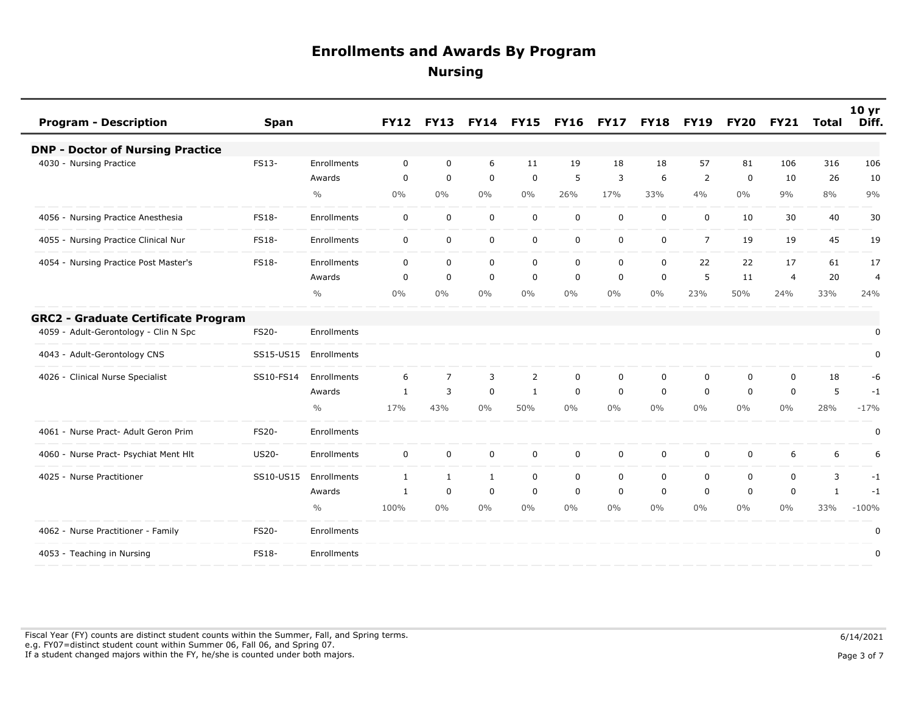| <b>Program - Description</b>               | <b>Span</b>  |               | <b>FY12</b>  | <b>FY13</b>    | <b>FY14</b>  | <b>FY15</b>    | <b>FY16</b> | <b>FY17</b> | <b>FY18</b> | <b>FY19</b>    | <b>FY20</b> | <b>FY21</b>    | <b>Total</b> | 10 <sub>yr</sub><br>Diff. |
|--------------------------------------------|--------------|---------------|--------------|----------------|--------------|----------------|-------------|-------------|-------------|----------------|-------------|----------------|--------------|---------------------------|
| <b>DNP - Doctor of Nursing Practice</b>    |              |               |              |                |              |                |             |             |             |                |             |                |              |                           |
| 4030 - Nursing Practice                    | FS13-        | Enrollments   | 0            | 0              | 6            | 11             | 19          | 18          | 18          | 57             | 81          | 106            | 316          | 106                       |
|                                            |              | Awards        | 0            | $\mathbf 0$    | $\mathbf 0$  | $\mathbf 0$    | 5           | 3           | 6           | 2              | 0           | 10             | 26           | 10                        |
|                                            |              | $\frac{0}{0}$ | 0%           | $0\%$          | 0%           | $0\%$          | 26%         | 17%         | 33%         | 4%             | $0\%$       | 9%             | 8%           | 9%                        |
| 4056 - Nursing Practice Anesthesia         | FS18-        | Enrollments   | 0            | $\mathbf 0$    | $\mathbf 0$  | $\pmb{0}$      | $\mathbf 0$ | $\mathbf 0$ | $\mathbf 0$ | $\mathbf 0$    | 10          | 30             | 40           | 30                        |
| 4055 - Nursing Practice Clinical Nur       | FS18-        | Enrollments   | $\mathbf 0$  | $\mathbf 0$    | $\mathbf 0$  | $\mathbf 0$    | $\mathbf 0$ | $\mathbf 0$ | $\mathbf 0$ | $\overline{7}$ | 19          | 19             | 45           | 19                        |
| 4054 - Nursing Practice Post Master's      | <b>FS18-</b> | Enrollments   | $\mathbf 0$  | 0              | $\mathbf 0$  | 0              | $\mathbf 0$ | 0           | $\mathbf 0$ | 22             | 22          | 17             | 61           | 17                        |
|                                            |              | Awards        | 0            | $\mathbf 0$    | $\mathbf 0$  | $\mathbf 0$    | $\mathbf 0$ | $\mathbf 0$ | $\mathbf 0$ | 5              | 11          | $\overline{4}$ | 20           | $\overline{4}$            |
|                                            |              | $\frac{0}{0}$ | 0%           | 0%             | $0\%$        | $0\%$          | $0\%$       | $0\%$       | $0\%$       | 23%            | 50%         | 24%            | 33%          | 24%                       |
| <b>GRC2 - Graduate Certificate Program</b> |              |               |              |                |              |                |             |             |             |                |             |                |              |                           |
| 4059 - Adult-Gerontology - Clin N Spc      | <b>FS20-</b> | Enrollments   |              |                |              |                |             |             |             |                |             |                |              | $\mathbf 0$               |
| 4043 - Adult-Gerontology CNS               | SS15-US15    | Enrollments   |              |                |              |                |             |             |             |                |             |                |              | 0                         |
| 4026 - Clinical Nurse Specialist           | SS10-FS14    | Enrollments   | 6            | $\overline{7}$ | 3            | $\overline{2}$ | $\mathbf 0$ | $\mathbf 0$ | $\mathbf 0$ | $\mathbf 0$    | $\mathbf 0$ | $\mathbf 0$    | 18           | -6                        |
|                                            |              | Awards        | $\mathbf{1}$ | 3              | $\mathbf 0$  | $\mathbf{1}$   | $\mathbf 0$ | $\mathbf 0$ | $\mathbf 0$ | $\mathbf 0$    | $\Omega$    | $\mathbf 0$    | 5            | $-1$                      |
|                                            |              | $\frac{0}{0}$ | 17%          | 43%            | 0%           | 50%            | $0\%$       | $0\%$       | $0\%$       | $0\%$          | $0\%$       | $0\%$          | 28%          | $-17%$                    |
| 4061 - Nurse Pract- Adult Geron Prim       | <b>FS20-</b> | Enrollments   |              |                |              |                |             |             |             |                |             |                |              | 0                         |
| 4060 - Nurse Pract- Psychiat Ment Hlt      | <b>US20-</b> | Enrollments   | $\mathbf 0$  | $\mathbf 0$    | $\mathbf 0$  | $\mathbf 0$    | $\mathbf 0$ | $\mathbf 0$ | $\mathbf 0$ | $\mathbf 0$    | $\mathbf 0$ | 6              | 6            | 6                         |
| 4025 - Nurse Practitioner                  | SS10-US15    | Enrollments   | $\mathbf{1}$ | $\mathbf{1}$   | $\mathbf{1}$ | $\mathbf 0$    | $\mathbf 0$ | $\mathbf 0$ | $\mathbf 0$ | $\mathbf 0$    | $\mathbf 0$ | $\mathbf 0$    | 3            | $-1$                      |
|                                            |              | Awards        | 1            | $\mathbf 0$    | $\mathbf 0$  | $\mathbf 0$    | $\mathbf 0$ | $\mathbf 0$ | $\mathbf 0$ | $\mathbf 0$    | $\mathbf 0$ | $\mathbf 0$    | $\mathbf{1}$ | $-1$                      |
|                                            |              | $\frac{0}{0}$ | 100%         | $0\%$          | 0%           | $0\%$          | $0\%$       | $0\%$       | $0\%$       | $0\%$          | $0\%$       | $0\%$          | 33%          | $-100%$                   |
| 4062 - Nurse Practitioner - Family         | <b>FS20-</b> | Enrollments   |              |                |              |                |             |             |             |                |             |                |              | 0                         |
| 4053 - Teaching in Nursing                 | <b>FS18-</b> | Enrollments   |              |                |              |                |             |             |             |                |             |                |              | 0                         |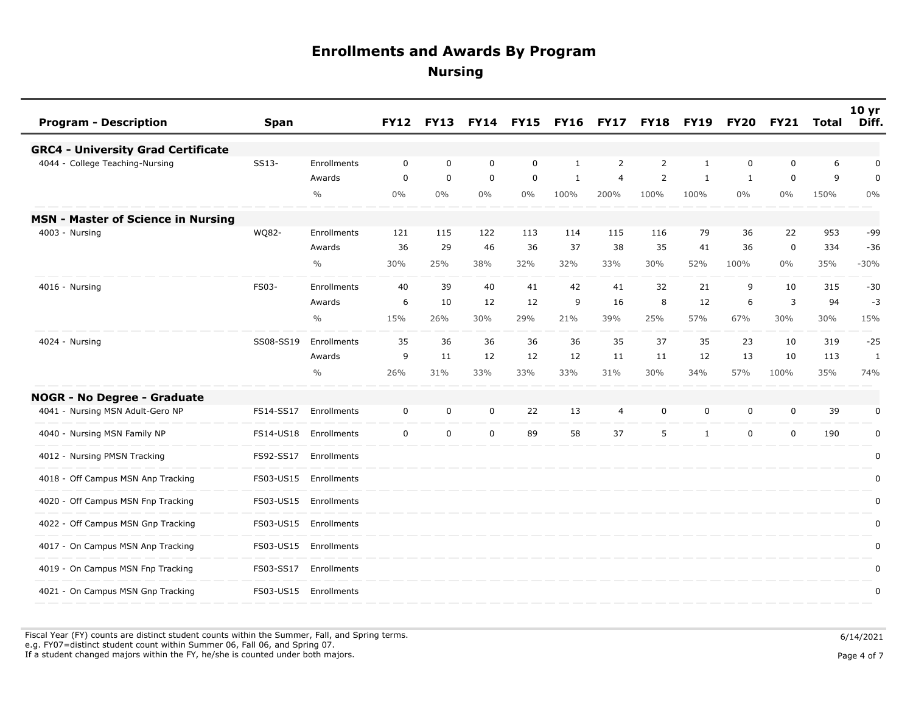| <b>Program - Description</b><br><b>Span</b>     |               | <b>FY12</b> | <b>FY13</b> | <b>FY14</b> | <b>FY15</b> | <b>FY16</b>  | <b>FY17</b>    | <b>FY18</b>    | <b>FY19</b>  | <b>FY20</b>  | <b>FY21</b> | Total | 10 <sub>yr</sub><br>Diff. |
|-------------------------------------------------|---------------|-------------|-------------|-------------|-------------|--------------|----------------|----------------|--------------|--------------|-------------|-------|---------------------------|
| <b>GRC4 - University Grad Certificate</b>       |               |             |             |             |             |              |                |                |              |              |             |       |                           |
| 4044 - College Teaching-Nursing<br>SS13-        | Enrollments   | 0           | $\mathbf 0$ | $\mathbf 0$ | $\mathbf 0$ | $\mathbf{1}$ | 2              | 2              | 1            | 0            | $\mathbf 0$ | 6     | 0                         |
|                                                 | Awards        | $\mathbf 0$ | $\mathbf 0$ | $\mathbf 0$ | $\mathbf 0$ | 1            | $\overline{4}$ | $\overline{2}$ | $\mathbf{1}$ | $\mathbf{1}$ | $\mathbf 0$ | 9     | 0                         |
|                                                 | $\frac{0}{0}$ | 0%          | $0\%$       | 0%          | $0\%$       | 100%         | 200%           | 100%           | 100%         | $0\%$        | $0\%$       | 150%  | $0\%$                     |
| <b>MSN - Master of Science in Nursing</b>       |               |             |             |             |             |              |                |                |              |              |             |       |                           |
| WQ82-<br>4003 - Nursing                         | Enrollments   | 121         | 115         | 122         | 113         | 114          | 115            | 116            | 79           | 36           | 22          | 953   | -99                       |
|                                                 | Awards        | 36          | 29          | 46          | 36          | 37           | 38             | 35             | 41           | 36           | $\mathbf 0$ | 334   | $-36$                     |
|                                                 | $\frac{0}{0}$ | 30%         | 25%         | 38%         | 32%         | 32%          | 33%            | 30%            | 52%          | 100%         | $0\%$       | 35%   | $-30%$                    |
| FS03-<br>4016 - Nursing                         | Enrollments   | 40          | 39          | 40          | 41          | 42           | 41             | 32             | 21           | 9            | 10          | 315   | $-30$                     |
|                                                 | Awards        | 6           | 10          | 12          | 12          | 9            | 16             | 8              | 12           | 6            | 3           | 94    | $-3$                      |
|                                                 | $\frac{0}{0}$ | 15%         | 26%         | 30%         | 29%         | 21%          | 39%            | 25%            | 57%          | 67%          | 30%         | 30%   | 15%                       |
| SS08-SS19<br>4024 - Nursing                     | Enrollments   | 35          | 36          | 36          | 36          | 36           | 35             | 37             | 35           | 23           | 10          | 319   | $-25$                     |
|                                                 | Awards        | 9           | 11          | 12          | 12          | 12           | 11             | 11             | 12           | 13           | 10          | 113   | $\mathbf{1}$              |
|                                                 | $\frac{0}{0}$ | 26%         | 31%         | 33%         | 33%         | 33%          | 31%            | 30%            | 34%          | 57%          | 100%        | 35%   | 74%                       |
| <b>NOGR - No Degree - Graduate</b>              |               |             |             |             |             |              |                |                |              |              |             |       |                           |
| 4041 - Nursing MSN Adult-Gero NP<br>FS14-SS17   | Enrollments   | 0           | 0           | 0           | 22          | 13           | 4              | 0              | 0            | 0            | 0           | 39    | 0                         |
| 4040 - Nursing MSN Family NP<br>FS14-US18       | Enrollments   | $\mathbf 0$ | $\mathbf 0$ | $\mathbf 0$ | 89          | 58           | 37             | 5              | $\mathbf{1}$ | $\mathbf 0$  | $\mathbf 0$ | 190   | 0                         |
| 4012 - Nursing PMSN Tracking<br>FS92-SS17       | Enrollments   |             |             |             |             |              |                |                |              |              |             |       | $\mathbf 0$               |
| 4018 - Off Campus MSN Anp Tracking<br>FS03-US15 | Enrollments   |             |             |             |             |              |                |                |              |              |             |       | 0                         |
| 4020 - Off Campus MSN Fnp Tracking<br>FS03-US15 | Enrollments   |             |             |             |             |              |                |                |              |              |             |       | 0                         |
| 4022 - Off Campus MSN Gnp Tracking<br>FS03-US15 | Enrollments   |             |             |             |             |              |                |                |              |              |             |       | 0                         |
| 4017 - On Campus MSN Anp Tracking<br>FS03-US15  | Enrollments   |             |             |             |             |              |                |                |              |              |             |       | $\pmb{0}$                 |
| 4019 - On Campus MSN Fnp Tracking<br>FS03-SS17  | Enrollments   |             |             |             |             |              |                |                |              |              |             |       | $\pmb{0}$                 |
| 4021 - On Campus MSN Gnp Tracking<br>FS03-US15  | Enrollments   |             |             |             |             |              |                |                |              |              |             |       | 0                         |

Fiscal Year (FY) counts are distinct student counts within the Summer, Fall, and Spring terms.  $6/14/2021$  e.g. FY07=distinct student count within Summer 06, Fall 06, and Spring 07. If a student changed majors within the FY, he/she is counted under both majors. Page 4 of 7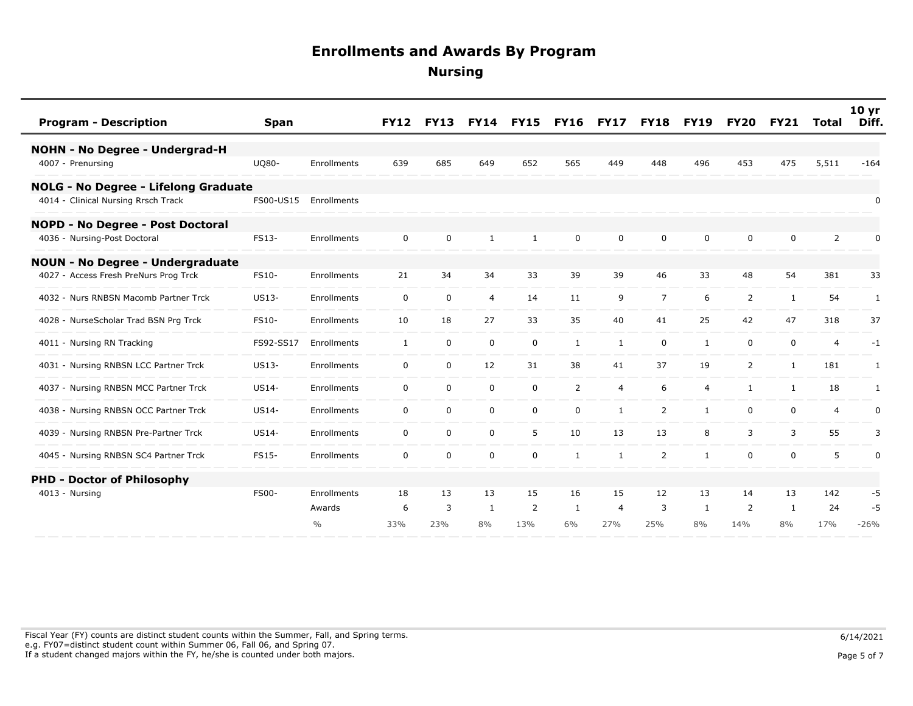| <b>Program - Description</b>            | <b>Span</b>  |               | <b>FY12</b>  | <b>FY13</b> | <b>FY14</b>    | <b>FY15</b> | <b>FY16</b>  | <b>FY17</b>    | <b>FY18</b>    | <b>FY19</b>    | <b>FY20</b>    | <b>FY21</b>  | Total          | 10 <sub>yr</sub><br>Diff. |
|-----------------------------------------|--------------|---------------|--------------|-------------|----------------|-------------|--------------|----------------|----------------|----------------|----------------|--------------|----------------|---------------------------|
| NOHN - No Degree - Undergrad-H          |              |               |              |             |                |             |              |                |                |                |                |              |                |                           |
| 4007 - Prenursing                       | <b>UQ80-</b> | Enrollments   | 639          | 685         | 649            | 652         | 565          | 449            | 448            | 496            | 453            | 475          | 5,511          | $-164$                    |
| NOLG - No Degree - Lifelong Graduate    |              |               |              |             |                |             |              |                |                |                |                |              |                |                           |
| 4014 - Clinical Nursing Rrsch Track     | FS00-US15    | Enrollments   |              |             |                |             |              |                |                |                |                |              |                | 0                         |
| <b>NOPD - No Degree - Post Doctoral</b> |              |               |              |             |                |             |              |                |                |                |                |              |                |                           |
| 4036 - Nursing-Post Doctoral            | FS13-        | Enrollments   | 0            | 0           | $\mathbf{1}$   | 1           | 0            | 0              | 0              | 0              | 0              | 0            | 2              | 0                         |
| <b>NOUN - No Degree - Undergraduate</b> |              |               |              |             |                |             |              |                |                |                |                |              |                |                           |
| 4027 - Access Fresh PreNurs Prog Trck   | FS10-        | Enrollments   | 21           | 34          | 34             | 33          | 39           | 39             | 46             | 33             | 48             | 54           | 381            | 33                        |
| 4032 - Nurs RNBSN Macomb Partner Trck   | US13-        | Enrollments   | 0            | 0           | $\overline{4}$ | 14          | 11           | 9              | $\overline{7}$ | 6              | $\overline{2}$ | 1            | 54             | 1                         |
| 4028 - NurseScholar Trad BSN Prg Trck   | FS10-        | Enrollments   | 10           | 18          | 27             | 33          | 35           | 40             | 41             | 25             | 42             | 47           | 318            | 37                        |
| 4011 - Nursing RN Tracking              | FS92-SS17    | Enrollments   | $\mathbf{1}$ | 0           | $\mathbf 0$    | $\mathbf 0$ | $\mathbf{1}$ | 1              | $\mathbf 0$    | $\mathbf{1}$   | 0              | $\mathbf 0$  | $\overline{4}$ | $-1$                      |
| 4031 - Nursing RNBSN LCC Partner Trck   | US13-        | Enrollments   | $\mathbf 0$  | $\pmb{0}$   | 12             | 31          | 38           | 41             | 37             | 19             | $\overline{2}$ | $\mathbf{1}$ | 181            | 1                         |
| 4037 - Nursing RNBSN MCC Partner Trck   | <b>US14-</b> | Enrollments   | $\mathbf 0$  | 0           | $\mathbf 0$    | $\mathbf 0$ | 2            | $\overline{4}$ | 6              | $\overline{4}$ | $\mathbf{1}$   | 1            | 18             | 1                         |
| 4038 - Nursing RNBSN OCC Partner Trck   | US14-        | Enrollments   | $\mathbf 0$  | $\mathbf 0$ | 0              | $\mathbf 0$ | $\mathbf 0$  | $\mathbf{1}$   | 2              | $\mathbf{1}$   | $\mathbf 0$    | $\mathbf 0$  | 4              | 0                         |
| 4039 - Nursing RNBSN Pre-Partner Trck   | <b>US14-</b> | Enrollments   | $\mathbf 0$  | 0           | 0              | 5           | 10           | 13             | 13             | 8              | 3              | 3            | 55             | 3                         |
| 4045 - Nursing RNBSN SC4 Partner Trck   | FS15-        | Enrollments   | 0            | $\pmb{0}$   | $\mathbf 0$    | $\mathbf 0$ | $\mathbf{1}$ | 1              | 2              | $\mathbf{1}$   | 0              | 0            | 5              | $\pmb{0}$                 |
| <b>PHD - Doctor of Philosophy</b>       |              |               |              |             |                |             |              |                |                |                |                |              |                |                           |
| $4013 - Nursing$                        | <b>FS00-</b> | Enrollments   | 18           | 13          | 13             | 15          | 16           | 15             | 12             | 13             | 14             | 13           | 142            | -5                        |
|                                         |              | Awards        | 6            | 3           | 1              | 2           | 1            | $\overline{4}$ | 3              | 1              | 2              | 1            | 24             | -5                        |
|                                         |              | $\frac{0}{0}$ | 33%          | 23%         | 8%             | 13%         | 6%           | 27%            | 25%            | 8%             | 14%            | 8%           | 17%            | $-26%$                    |

Fiscal Year (FY) counts are distinct student counts within the Summer, Fall, and Spring terms.  $6/14/2021$  e.g. FY07=distinct student count within Summer 06, Fall 06, and Spring 07. If a student changed majors within the FY, he/she is counted under both majors. Page 5 of 7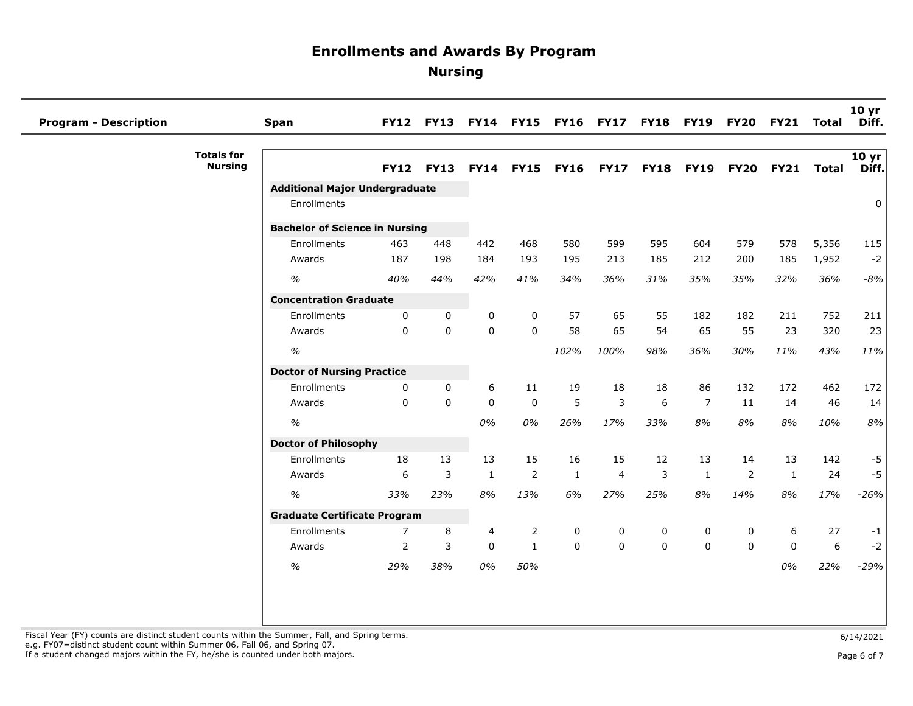| <b>Program - Description</b> |                                     | <b>Span</b>                           |                | FY12 FY13 FY14 FY15 FY16 FY17 FY18 FY19 FY20 FY21 |              |                  |              |                |             |                |             |              | Total | 10 <sub>yr</sub><br>Diff. |
|------------------------------|-------------------------------------|---------------------------------------|----------------|---------------------------------------------------|--------------|------------------|--------------|----------------|-------------|----------------|-------------|--------------|-------|---------------------------|
|                              | <b>Totals for</b><br><b>Nursing</b> |                                       | <b>FY12</b>    | <b>FY13</b>                                       |              | <b>FY14 FY15</b> |              | FY16 FY17 FY18 |             | <b>FY19</b>    | <b>FY20</b> | <b>FY21</b>  | Total | 10 yr<br>Diff.            |
|                              |                                     | <b>Additional Major Undergraduate</b> |                |                                                   |              |                  |              |                |             |                |             |              |       |                           |
|                              |                                     | Enrollments                           |                |                                                   |              |                  |              |                |             |                |             |              |       | 0                         |
|                              |                                     | <b>Bachelor of Science in Nursing</b> |                |                                                   |              |                  |              |                |             |                |             |              |       |                           |
|                              |                                     | Enrollments                           | 463            | 448                                               | 442          | 468              | 580          | 599            | 595         | 604            | 579         | 578          | 5,356 | 115                       |
|                              |                                     | Awards                                | 187            | 198                                               | 184          | 193              | 195          | 213            | 185         | 212            | 200         | 185          | 1,952 | $-2$                      |
|                              |                                     | $\frac{1}{2}$                         | 40%            | 44%                                               | 42%          | 41%              | 34%          | 36%            | 31%         | 35%            | 35%         | 32%          | 36%   | $-8%$                     |
|                              |                                     | <b>Concentration Graduate</b>         |                |                                                   |              |                  |              |                |             |                |             |              |       |                           |
|                              |                                     | Enrollments                           | 0              | $\mathbf 0$                                       | 0            | 0                | 57           | 65             | 55          | 182            | 182         | 211          | 752   | 211                       |
|                              |                                     | Awards                                | $\Omega$       | $\Omega$                                          | $\mathbf{0}$ | $\Omega$         | 58           | 65             | 54          | 65             | 55          | 23           | 320   | 23                        |
|                              |                                     | $\%$                                  |                |                                                   |              |                  | 102%         | 100%           | 98%         | 36%            | 30%         | 11%          | 43%   | 11%                       |
|                              |                                     | <b>Doctor of Nursing Practice</b>     |                |                                                   |              |                  |              |                |             |                |             |              |       |                           |
|                              |                                     | Enrollments                           | 0              | $\mathbf{0}$                                      | 6            | 11               | 19           | 18             | 18          | 86             | 132         | 172          | 462   | 172                       |
|                              |                                     | Awards                                | $\Omega$       | $\mathbf{0}$                                      | $\mathbf 0$  | $\mathbf 0$      | 5            | 3              | 6           | $\overline{7}$ | 11          | 14           | 46    | 14                        |
|                              |                                     | $\%$                                  |                |                                                   | $0\%$        | $0\%$            | 26%          | 17%            | 33%         | 8%             | 8%          | 8%           | 10%   | 8%                        |
|                              |                                     | <b>Doctor of Philosophy</b>           |                |                                                   |              |                  |              |                |             |                |             |              |       |                           |
|                              |                                     | Enrollments                           | 18             | 13                                                | 13           | 15               | 16           | 15             | 12          | 13             | 14          | 13           | 142   | $-5$                      |
|                              |                                     | Awards                                | 6              | 3                                                 | $\mathbf{1}$ | $\mathbf 2$      | $\mathbf{1}$ | 4              | 3           | $\mathbf{1}$   | 2           | $\mathbf{1}$ | 24    | $-5$                      |
|                              |                                     | $\frac{1}{2}$                         | 33%            | 23%                                               | $8\%$        | 13%              | 6%           | 27%            | 25%         | 8%             | 14%         | 8%           | 17%   | $-26%$                    |
|                              |                                     | <b>Graduate Certificate Program</b>   |                |                                                   |              |                  |              |                |             |                |             |              |       |                           |
|                              |                                     | Enrollments                           | 7              | 8                                                 | 4            | 2                | 0            | 0              | 0           | 0              | 0           | 6            | 27    | $-1$                      |
|                              |                                     | Awards                                | $\overline{2}$ | 3                                                 | $\mathbf 0$  | $\mathbf{1}$     | $\mathbf 0$  | 0              | $\mathbf 0$ | $\Omega$       | $\Omega$    | $\mathbf{0}$ | 6     | $-2$                      |
|                              |                                     | $\%$                                  | 29%            | 38%                                               | $0\%$        | 50%              |              |                |             |                |             | 0%           | 22%   | $-29%$                    |
|                              |                                     |                                       |                |                                                   |              |                  |              |                |             |                |             |              |       |                           |
|                              |                                     |                                       |                |                                                   |              |                  |              |                |             |                |             |              |       |                           |
|                              |                                     |                                       |                |                                                   |              |                  |              |                |             |                |             |              |       |                           |

Fiscal Year (FY) counts are distinct student counts within the Summer, Fall, and Spring terms.<br>e.g. FY07=distinct student count within Summer 06, Fall 06, and Spring 07. If a student changed majors within the FY, he/she is counted under both majors. Page 6 of 7